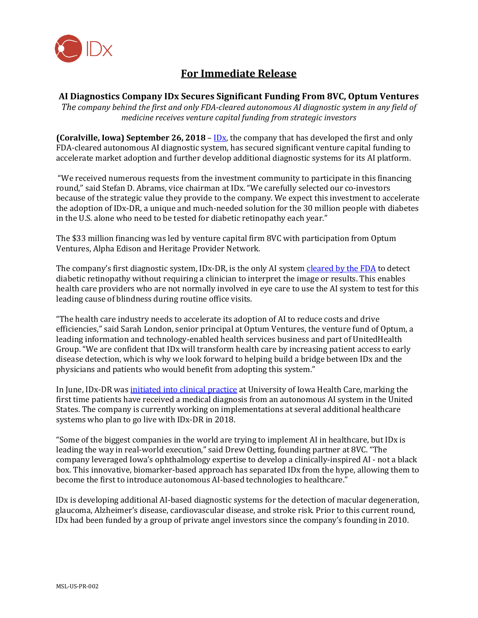

# **For Immediate Release**

# **AI Diagnostics Company IDx Secures Significant Funding From 8VC, Optum Ventures**

*The company behind the first and only FDA-cleared autonomous AI diagnostic system in any field of medicine receives venture capital funding from strategic investors*

**(Coralville, Iowa) September 26, 2018 – [IDx,](http://www.eyediagnosis.net/) the company that has developed the first and only** FDA-cleared autonomous AI diagnostic system, has secured significant venture capital funding to accelerate market adoption and further develop additional diagnostic systems for its AI platform.

"We received numerous requests from the investment community to participate in this financing round," said Stefan D. Abrams, vice chairman at IDx. "We carefully selected our co-investors because of the strategic value they provide to the company. We expect this investment to accelerate the adoption of IDx-DR, a unique and much-needed solution for the 30 million people with diabetes in the U.S. alone who need to be tested for diabetic retinopathy each year."

The \$33 million financing was led by venture capital firm 8VC with participation from Optum Ventures, Alpha Edison and Heritage Provider Network.

The company's first diagnostic system, IDx-DR, is the only AI system [cleared by the FDA](https://www.fda.gov/newsevents/newsroom/pressannouncements/ucm604357.htm) to detect diabetic retinopathy without requiring a clinician to interpret the image or results. This enables health care providers who are not normally involved in eye care to use the AI system to test for this leading cause of blindness during routine office visits.

"The health care industry needs to accelerate its adoption of AI to reduce costs and drive efficiencies," said Sarah London, senior principal at Optum Ventures, the venture fund of Optum, a leading information and technology-enabled health services business and part of UnitedHealth Group. "We are confident that IDx will transform health care by increasing patient access to early disease detection, which is why we look forward to helping build a bridge between IDx and the physicians and patients who would benefit from adopting this system."

In June, IDx-DR was [initiated into clinical](https://qz.com/1371580/can-ai-deliver-on-its-promise-to-close-the-gap-between-rural-and-urban-health-care/) practice at University of Iowa Health Care, marking the first time patients have received a medical diagnosis from an autonomous AI system in the United States. The company is currently working on implementations at several additional healthcare systems who plan to go live with IDx-DR in 2018.

"Some of the biggest companies in the world are trying to implement AI in healthcare, but IDx is leading the way in real-world execution," said Drew Oetting, founding partner at 8VC. "The company leveraged Iowa's ophthalmology expertise to develop a clinically-inspired AI - not a black box. This innovative, biomarker-based approach has separated IDx from the hype, allowing them to become the first to introduce autonomous AI-based technologies to healthcare."

IDx is developing additional AI-based diagnostic systems for the detection of macular degeneration, glaucoma, Alzheimer's disease, cardiovascular disease, and stroke risk. Prior to this current round, IDx had been funded by a group of private angel investors since the company's founding in 2010.